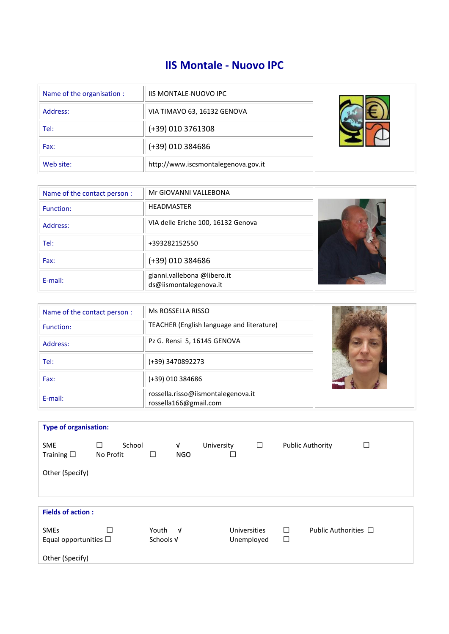# **IIS Montale - Nuovo IPC**

| Name of the organisation : | <b>IIS MONTALE-NUOVO IPC</b>        |  |
|----------------------------|-------------------------------------|--|
| Address:                   | VIA TIMAVO 63, 16132 GENOVA         |  |
| Tel:                       | (+39) 010 3761308                   |  |
| Fax:                       | (+39) 010 384686                    |  |
| Web site:                  | http://www.iscsmontalegenova.gov.it |  |

| Name of the contact person: | Mr GIOVANNI VALLEBONA                                 |  |
|-----------------------------|-------------------------------------------------------|--|
| Function:                   | <b>HEADMASTER</b>                                     |  |
| Address:                    | VIA delle Eriche 100, 16132 Genova                    |  |
| Tel:                        | +393282152550                                         |  |
| Fax:                        | (+39) 010 384686                                      |  |
| E-mail:                     | gianni.vallebona @libero.it<br>ds@iismontalegenova.it |  |

| Name of the contact person : | Ms ROSSELLA RISSO                                           |  |
|------------------------------|-------------------------------------------------------------|--|
| Function:                    | TEACHER (English language and literature)                   |  |
| Address:                     | Pz G. Rensi 5, 16145 GENOVA                                 |  |
| Tel:                         | (+39) 3470892273                                            |  |
| Fax:                         | (+39) 010 384686                                            |  |
| E-mail:                      | rossella.risso@iismontalegenova.it<br>rossella166@gmail.com |  |

| <b>Type of organisation:</b>     |                     |        |           |                 |            |              |        |                         |                           |
|----------------------------------|---------------------|--------|-----------|-----------------|------------|--------------|--------|-------------------------|---------------------------|
| <b>SME</b><br>Training $\square$ | $\Box$<br>No Profit | School | П         | V<br><b>NGO</b> | University | $\Box$       |        | <b>Public Authority</b> | □                         |
| Other (Specify)                  |                     |        |           |                 |            |              |        |                         |                           |
|                                  |                     |        |           |                 |            |              |        |                         |                           |
|                                  |                     |        |           |                 |            |              |        |                         |                           |
| <b>Fields of action:</b>         |                     |        |           |                 |            |              |        |                         |                           |
| <b>SMEs</b>                      |                     |        | Youth V   |                 |            | Universities | $\Box$ |                         | Public Authorities $\Box$ |
| Equal opportunities $\Box$       |                     |        | Schools V |                 |            | Unemployed   | $\Box$ |                         |                           |
| Other (Specify)                  |                     |        |           |                 |            |              |        |                         |                           |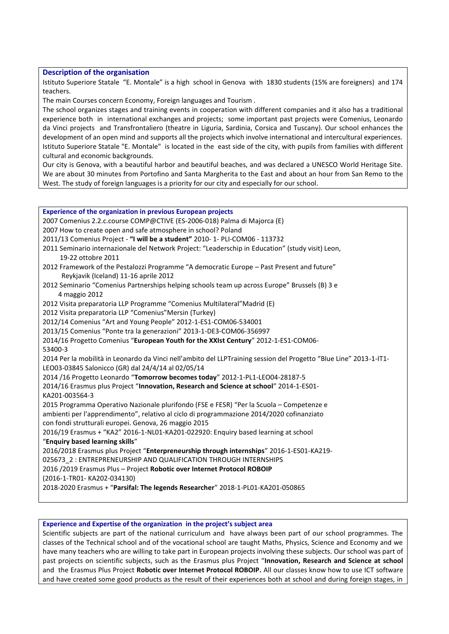## **Description of the organisation**

Istituto Superiore Statale "E. Montale" is a high school in Genova with 1830 students (15% are foreigners) and 174 teachers.

The main Courses concern Economy, Foreign languages and Tourism .

The school organizes stages and training events in cooperation with different companies and it also has a traditional experience both in international exchanges and projects; some important past projects were Comenius, Leonardo da Vinci projects and Transfrontaliero (theatre in Liguria, Sardinia, Corsica and Tuscany). Our school enhances the development of an open mind and supports all the projects which involve international and intercultural experiences. Istituto Superiore Statale "E. Montale" is located in the east side of the city, with pupils from families with different cultural and economic backgrounds.

Our city is Genova, with a beautiful harbor and beautiful beaches, and was declared a UNESCO World Heritage Site. We are about 30 minutes from Portofino and Santa Margherita to the East and about an hour from San Remo to the West. The study of foreign languages is a priority for our city and especially for our school.

**Experience of the organization in previous European projects** 2007 Comenius 2.2.c.course COMP@CTIVE (ES-2006-018) Palma di Majorca (E) 2007 How to create open and safe atmosphere in school? Poland 2011/13 Comenius Project - **"I will be a student"** 2010- 1- PLI-COM06 - 113732 2011 Seminario internazionale del Network Project: "Leaderschip in Education" (study visit) Leon, 19-22 ottobre 2011 2012 Framework of the Pestalozzi Programme "A democratic Europe - Past Present and future" Reykjavik (Iceland) 11-16 aprile 2012 2012 Seminario "Comenius Partnerships helping schools team up across Europe" Brussels (B) 3 e 4 maggio 2012 2012 Visita preparatoria LLP Programme "Comenius Multilateral"Madrid (E) 2012 Visita preparatoria LLP "Comenius"Mersin (Turkey) 2012/14 Comenius "Art and Young People" 2012-1-ES1-COM06-534001 2013/15 Comenius "Ponte tra la generazioni" 2013-1-DE3-COM06-356997 2014/16 Progetto Comenius "**European Youth for the XXIst Century**" 2012-1-ES1-COM06- 53400-3 2014 Per la mobilità in Leonardo da Vinci nell'ambito del LLPTraining session del Progetto "Blue Line" 2013-1-IT1- LEO03-03845 Salonicco (GR) dal 24/4/14 al 02/05/14 2014 /16 Progetto Leonardo "**Tomorrow becomes today**" 2012-1-PL1-LEO04-28187-5 2014/16 Erasmus plus Project "**Innovation, Research and Science at school**" 2014-1-ES01- KA201-003564-3 2015 Programma Operativo Nazionale plurifondo (FSE e FESR) "Per la Scuola – Competenze e ambienti per l'apprendimento", relativo al ciclo di programmazione 2014/2020 cofinanziato con fondi strutturali europei. Genova, 26 maggio 2015 2016/19 Erasmus + "KA2" 2016-1-NL01-KA201-022920: Enquiry based learning at school "**Enquiry based learning skills**" 2016/2018 Erasmus plus Project "**Enterpreneurship through internships**" 2016-1-ES01-KA219- 025673 2 : ENTREPRENEURSHIP AND QUALIFICATION THROUGH INTERNSHIPS 2016 /2019 Erasmus Plus – Project **Robotic over Internet Protocol ROBOIP** (2016-1-TR01- KA202-034130) 2018-2020 Erasmus + "**Parsifal: The legends Researcher**" 2018-1-PL01-KA201-050865

**Experience and Expertise of the organization in the project's subject area**

Scientific subjects are part of the national curriculum and have always been part of our school programmes. The classes of the Technical school and of the vocational school are taught Maths, Physics, Science and Economy and we have many teachers who are willing to take part in European projects involving these subjects. Our school was part of past projects on scientific subjects, such as the Erasmus plus Project "**Innovation, Research and Science at school** and the Erasmus Plus Project **Robotic over Internet Protocol ROBOIP.** All our classes know how to use ICT software and have created some good products as the result of their experiences both at school and during foreign stages, in